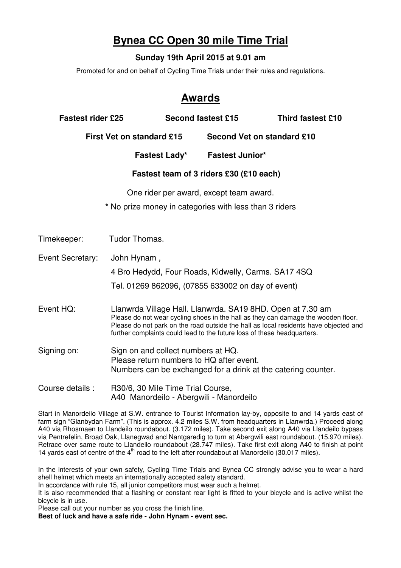## **Bynea CC Open 30 mile Time Trial**

## **Sunday 19th April 2015 at 9.01 am**

Promoted for and on behalf of Cycling Time Trials under their rules and regulations.

## **Awards**

| <b>Fastest rider £25</b>         |                                                                                                                                                 | <b>Second fastest £15</b>  | <b>Third fastest £10</b>                                                                                                                                                  |  |  |  |  |  |
|----------------------------------|-------------------------------------------------------------------------------------------------------------------------------------------------|----------------------------|---------------------------------------------------------------------------------------------------------------------------------------------------------------------------|--|--|--|--|--|
| <b>First Vet on standard £15</b> |                                                                                                                                                 | Second Vet on standard £10 |                                                                                                                                                                           |  |  |  |  |  |
|                                  | <b>Fastest Lady*</b>                                                                                                                            | <b>Fastest Junior*</b>     |                                                                                                                                                                           |  |  |  |  |  |
|                                  | Fastest team of 3 riders £30 (£10 each)                                                                                                         |                            |                                                                                                                                                                           |  |  |  |  |  |
|                                  | One rider per award, except team award.<br>* No prize money in categories with less than 3 riders                                               |                            |                                                                                                                                                                           |  |  |  |  |  |
| Timekeeper:                      | Tudor Thomas.                                                                                                                                   |                            |                                                                                                                                                                           |  |  |  |  |  |
| Event Secretary:                 | John Hynam,                                                                                                                                     |                            |                                                                                                                                                                           |  |  |  |  |  |
|                                  | 4 Bro Hedydd, Four Roads, Kidwelly, Carms. SA17 4SQ                                                                                             |                            |                                                                                                                                                                           |  |  |  |  |  |
|                                  | Tel. 01269 862096, (07855 633002 on day of event)                                                                                               |                            |                                                                                                                                                                           |  |  |  |  |  |
| Event HQ:                        | Llanwrda Village Hall. Llanwrda. SA19 8HD. Open at 7.30 am<br>further complaints could lead to the future loss of these headquarters.           |                            | Please do not wear cycling shoes in the hall as they can damage the wooden floor.<br>Please do not park on the road outside the hall as local residents have objected and |  |  |  |  |  |
| Signing on:                      | Sign on and collect numbers at HQ.<br>Please return numbers to HQ after event.<br>Numbers can be exchanged for a drink at the catering counter. |                            |                                                                                                                                                                           |  |  |  |  |  |
| Course details:                  | R30/6, 30 Mile Time Trial Course,<br>A40 Manordeilo - Abergwili - Manordeilo                                                                    |                            |                                                                                                                                                                           |  |  |  |  |  |

Start in Manordeilo Village at S.W. entrance to Tourist Information lay-by, opposite to and 14 yards east of farm sign "Glanbydan Farm". (This is approx. 4.2 miles S.W. from headquarters in Llanwrda.) Proceed along A40 via Rhosmaen to Llandeilo roundabout. (3.172 miles). Take second exit along A40 via Llandeilo bypass via Pentrefelin, Broad Oak, Llanegwad and Nantgaredig to turn at Abergwili east roundabout. (15.970 miles). Retrace over same route to Llandeilo roundabout (28.747 miles). Take first exit along A40 to finish at point 14 yards east of centre of the  $4<sup>th</sup>$  road to the left after roundabout at Manordeilo (30.017 miles).

In the interests of your own safety, Cycling Time Trials and Bynea CC strongly advise you to wear a hard shell helmet which meets an internationally accepted safety standard.

In accordance with rule 15, all junior competitors must wear such a helmet.

It is also recommended that a flashing or constant rear light is fitted to your bicycle and is active whilst the bicycle is in use.

Please call out your number as you cross the finish line.

**Best of luck and have a safe ride - John Hynam - event sec.**